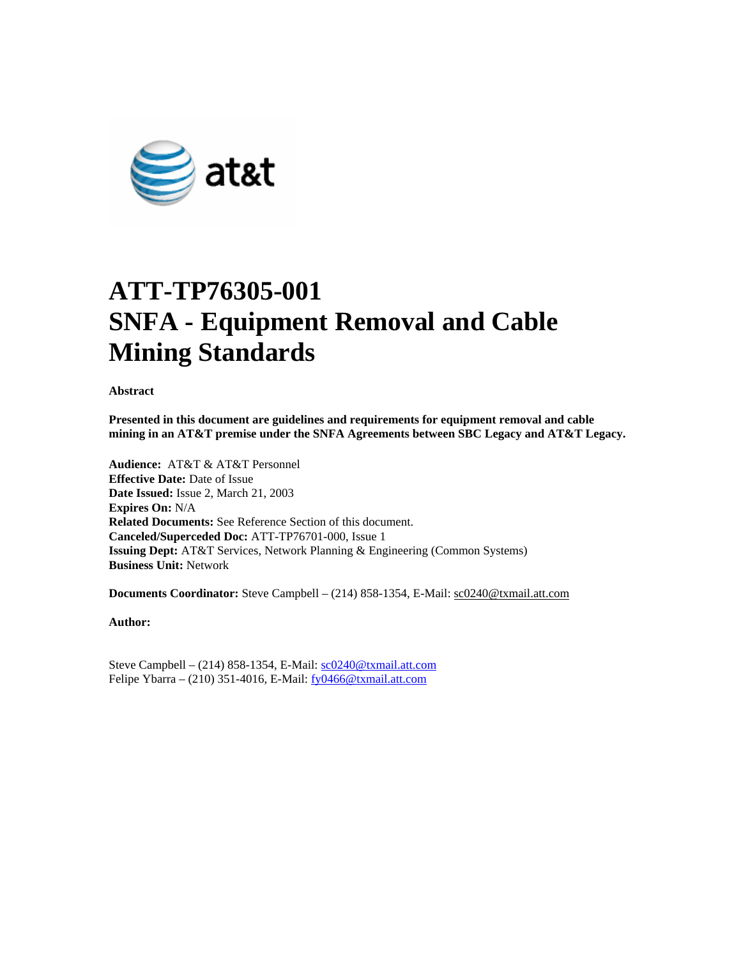

# **ATT-TP76305-001 SNFA - Equipment Removal and Cable Mining Standards**

**Abstract** 

**Presented in this document are guidelines and requirements for equipment removal and cable mining in an AT&T premise under the SNFA Agreements between SBC Legacy and AT&T Legacy.** 

**Audience:** AT&T & AT&T Personnel **Effective Date:** Date of Issue **Date Issued:** Issue 2, March 21, 2003 **Expires On:** N/A **Related Documents:** See Reference Section of this document. **Canceled/Superceded Doc:** ATT-TP76701-000, Issue 1 **Issuing Dept:** AT&T Services, Network Planning & Engineering (Common Systems) **Business Unit:** Network

**Documents Coordinator:** Steve Campbell – (214) 858-1354, E-Mail: sc0240@txmail.att.com

**Author:** 

Steve Campbell – (214) 858-1354, E-Mail: sc0240@txmail.att.com Felipe Ybarra – (210) 351-4016, E-Mail: fy0466@txmail.att.com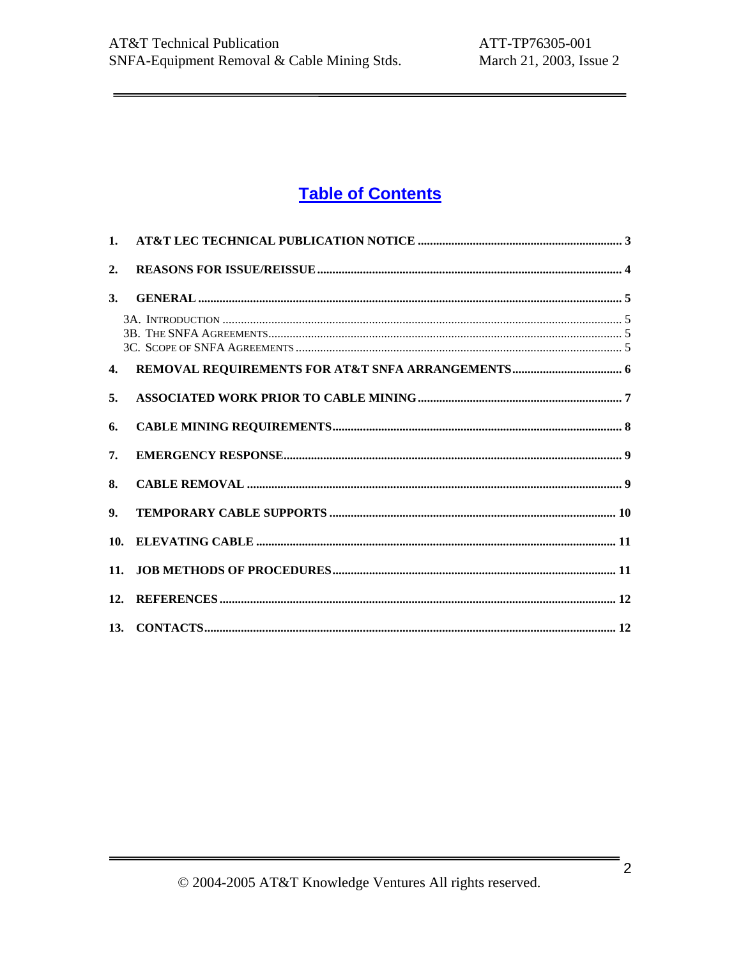# **Table of Contents**

| $\mathbf{1}$ . |  |
|----------------|--|
| 2.             |  |
| 3.             |  |
|                |  |
| $\mathbf{4}$   |  |
| 5.             |  |
| 6.             |  |
| 7.             |  |
| 8.             |  |
| 9.             |  |
| 10.            |  |
| 11.            |  |
|                |  |
|                |  |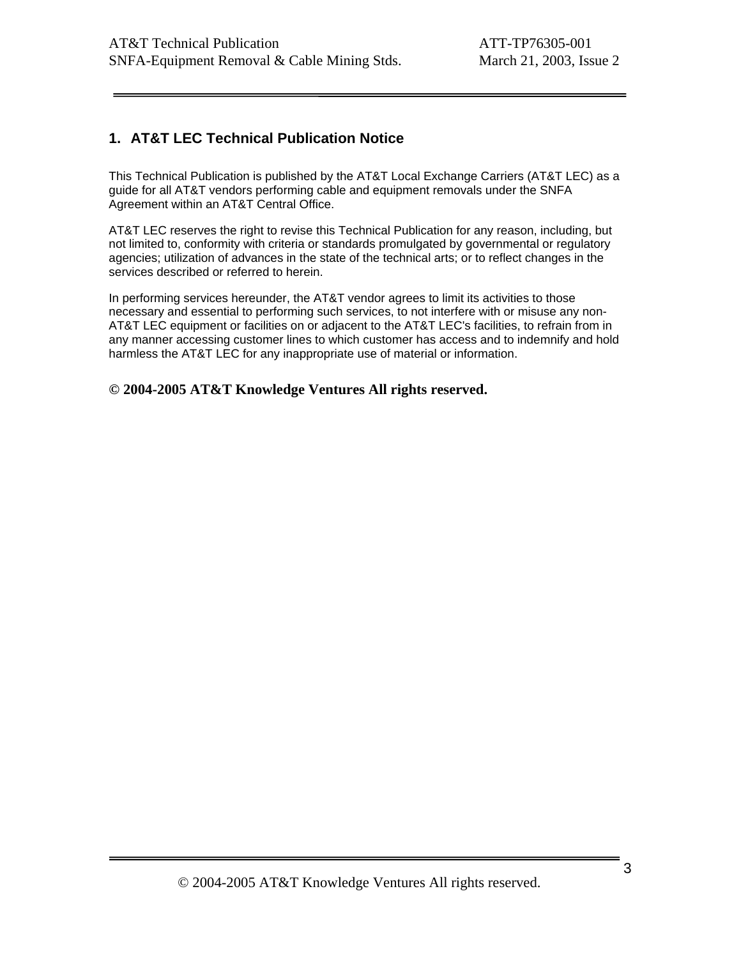# **1. AT&T LEC Technical Publication Notice**

This Technical Publication is published by the AT&T Local Exchange Carriers (AT&T LEC) as a guide for all AT&T vendors performing cable and equipment removals under the SNFA Agreement within an AT&T Central Office.

AT&T LEC reserves the right to revise this Technical Publication for any reason, including, but not limited to, conformity with criteria or standards promulgated by governmental or regulatory agencies; utilization of advances in the state of the technical arts; or to reflect changes in the services described or referred to herein.

In performing services hereunder, the AT&T vendor agrees to limit its activities to those necessary and essential to performing such services, to not interfere with or misuse any non-AT&T LEC equipment or facilities on or adjacent to the AT&T LEC's facilities, to refrain from in any manner accessing customer lines to which customer has access and to indemnify and hold harmless the AT&T LEC for any inappropriate use of material or information.

**© 2004-2005 AT&T Knowledge Ventures All rights reserved.**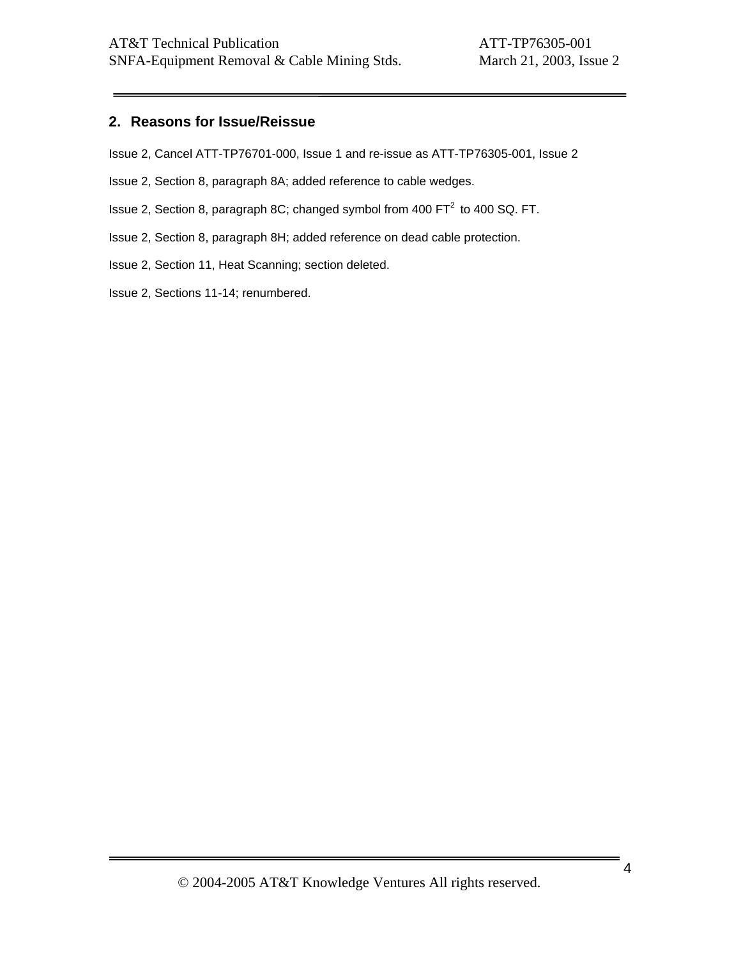### **2. Reasons for Issue/Reissue**

Issue 2, Cancel ATT-TP76701-000, Issue 1 and re-issue as ATT-TP76305-001, Issue 2

Issue 2, Section 8, paragraph 8A; added reference to cable wedges.

Issue 2, Section 8, paragraph 8C; changed symbol from 400 FT<sup>2</sup> to 400 SQ. FT.

Issue 2, Section 8, paragraph 8H; added reference on dead cable protection.

Issue 2, Section 11, Heat Scanning; section deleted.

Issue 2, Sections 11-14; renumbered.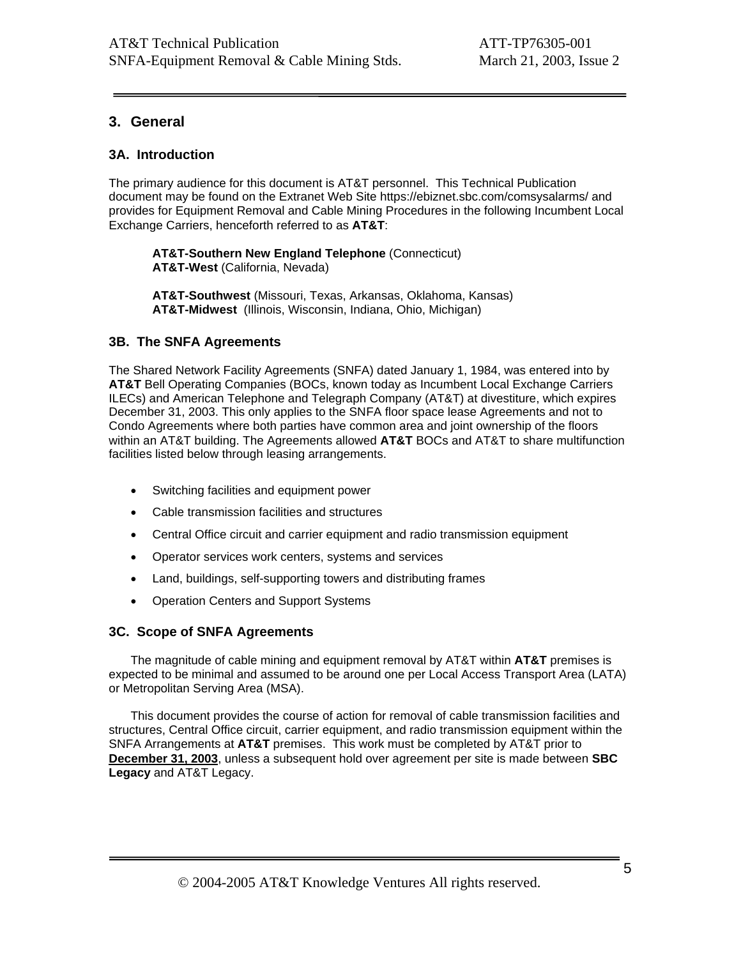# **3. General**

#### **3A. Introduction**

The primary audience for this document is AT&T personnel. This Technical Publication document may be found on the Extranet Web Site https://ebiznet.sbc.com/comsysalarms/ and provides for Equipment Removal and Cable Mining Procedures in the following Incumbent Local Exchange Carriers, henceforth referred to as **AT&T**:

**AT&T-Southern New England Telephone** (Connecticut) **AT&T-West** (California, Nevada)

**AT&T-Southwest** (Missouri, Texas, Arkansas, Oklahoma, Kansas) **AT&T-Midwest** (Illinois, Wisconsin, Indiana, Ohio, Michigan)

#### **3B. The SNFA Agreements**

The Shared Network Facility Agreements (SNFA) dated January 1, 1984, was entered into by **AT&T** Bell Operating Companies (BOCs, known today as Incumbent Local Exchange Carriers ILECs) and American Telephone and Telegraph Company (AT&T) at divestiture, which expires December 31, 2003. This only applies to the SNFA floor space lease Agreements and not to Condo Agreements where both parties have common area and joint ownership of the floors within an AT&T building. The Agreements allowed **AT&T** BOCs and AT&T to share multifunction facilities listed below through leasing arrangements.

- Switching facilities and equipment power
- Cable transmission facilities and structures
- Central Office circuit and carrier equipment and radio transmission equipment
- Operator services work centers, systems and services
- Land, buildings, self-supporting towers and distributing frames
- Operation Centers and Support Systems

#### **3C. Scope of SNFA Agreements**

The magnitude of cable mining and equipment removal by AT&T within **AT&T** premises is expected to be minimal and assumed to be around one per Local Access Transport Area (LATA) or Metropolitan Serving Area (MSA).

This document provides the course of action for removal of cable transmission facilities and structures, Central Office circuit, carrier equipment, and radio transmission equipment within the SNFA Arrangements at **AT&T** premises. This work must be completed by AT&T prior to **December 31, 2003**, unless a subsequent hold over agreement per site is made between **SBC Legacy** and AT&T Legacy.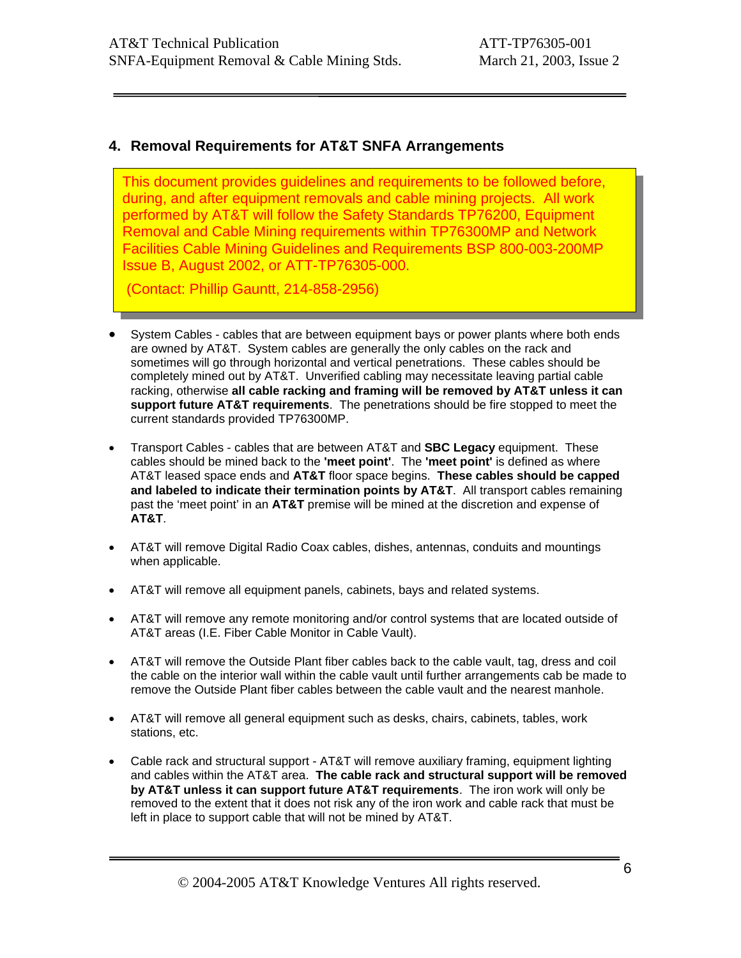# **4. Removal Requirements for AT&T SNFA Arrangements**

This document provides guidelines and requirements to be followed before, during, and after equipment removals and cable mining projects. All work performed by AT&T will follow the Safety Standards TP76200, Equipment Removal and Cable Mining requirements within TP76300MP and Network Facilities Cable Mining Guidelines and Requirements BSP 800-003-200MP Issue B, August 2002, or ATT-TP76305-000.

(Contact: Phillip Gauntt, 214-858-2956)

- System Cables cables that are between equipment bays or power plants where both ends are owned by AT&T. System cables are generally the only cables on the rack and sometimes will go through horizontal and vertical penetrations. These cables should be completely mined out by AT&T. Unverified cabling may necessitate leaving partial cable racking, otherwise **all cable racking and framing will be removed by AT&T unless it can support future AT&T requirements**. The penetrations should be fire stopped to meet the current standards provided TP76300MP.
- Transport Cables cables that are between AT&T and **SBC Legacy** equipment. These cables should be mined back to the **'meet point'**. The **'meet point'** is defined as where AT&T leased space ends and **AT&T** floor space begins. **These cables should be capped and labeled to indicate their termination points by AT&T**. All transport cables remaining past the 'meet point' in an **AT&T** premise will be mined at the discretion and expense of **AT&T**.
- AT&T will remove Digital Radio Coax cables, dishes, antennas, conduits and mountings when applicable.
- AT&T will remove all equipment panels, cabinets, bays and related systems.
- AT&T will remove any remote monitoring and/or control systems that are located outside of AT&T areas (I.E. Fiber Cable Monitor in Cable Vault).
- AT&T will remove the Outside Plant fiber cables back to the cable vault, tag, dress and coil the cable on the interior wall within the cable vault until further arrangements cab be made to remove the Outside Plant fiber cables between the cable vault and the nearest manhole.
- AT&T will remove all general equipment such as desks, chairs, cabinets, tables, work stations, etc.
- Cable rack and structural support AT&T will remove auxiliary framing, equipment lighting and cables within the AT&T area. **The cable rack and structural support will be removed by AT&T unless it can support future AT&T requirements**. The iron work will only be removed to the extent that it does not risk any of the iron work and cable rack that must be left in place to support cable that will not be mined by AT&T.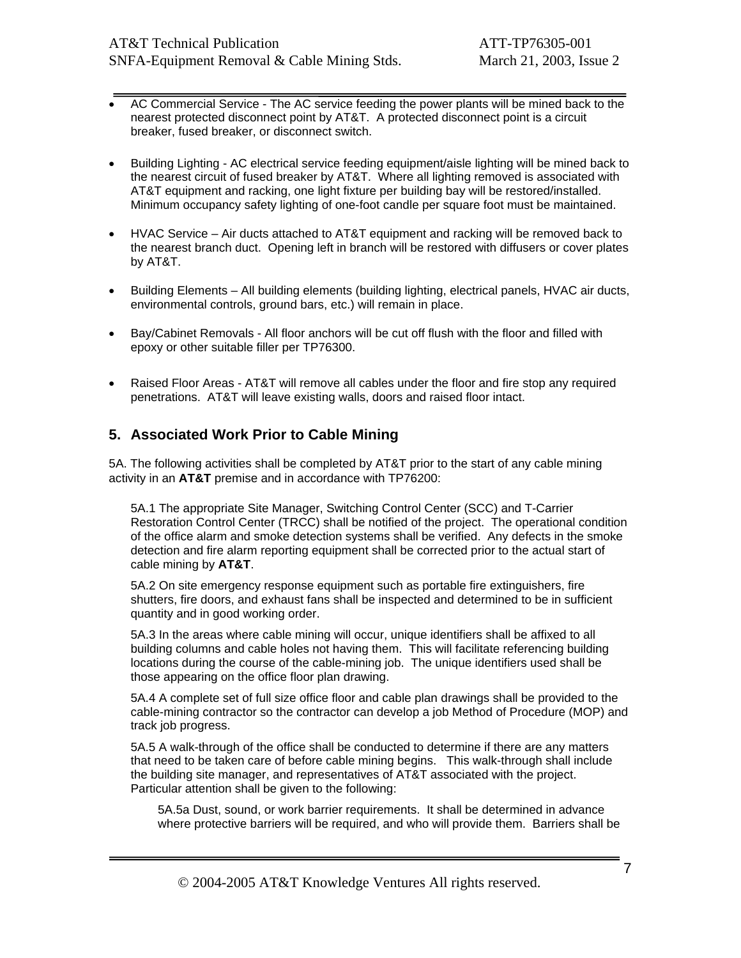- AC Commercial Service The AC service feeding the power plants will be mined back to the nearest protected disconnect point by AT&T. A protected disconnect point is a circuit breaker, fused breaker, or disconnect switch.
- Building Lighting AC electrical service feeding equipment/aisle lighting will be mined back to the nearest circuit of fused breaker by AT&T. Where all lighting removed is associated with AT&T equipment and racking, one light fixture per building bay will be restored/installed. Minimum occupancy safety lighting of one-foot candle per square foot must be maintained.
- HVAC Service Air ducts attached to AT&T equipment and racking will be removed back to the nearest branch duct. Opening left in branch will be restored with diffusers or cover plates by AT&T.
- Building Elements All building elements (building lighting, electrical panels, HVAC air ducts, environmental controls, ground bars, etc.) will remain in place.
- Bay/Cabinet Removals All floor anchors will be cut off flush with the floor and filled with epoxy or other suitable filler per TP76300.
- Raised Floor Areas AT&T will remove all cables under the floor and fire stop any required penetrations. AT&T will leave existing walls, doors and raised floor intact.

### **5. Associated Work Prior to Cable Mining**

5A. The following activities shall be completed by AT&T prior to the start of any cable mining activity in an **AT&T** premise and in accordance with TP76200:

5A.1 The appropriate Site Manager, Switching Control Center (SCC) and T-Carrier Restoration Control Center (TRCC) shall be notified of the project. The operational condition of the office alarm and smoke detection systems shall be verified. Any defects in the smoke detection and fire alarm reporting equipment shall be corrected prior to the actual start of cable mining by **AT&T**.

5A.2 On site emergency response equipment such as portable fire extinguishers, fire shutters, fire doors, and exhaust fans shall be inspected and determined to be in sufficient quantity and in good working order.

5A.3 In the areas where cable mining will occur, unique identifiers shall be affixed to all building columns and cable holes not having them. This will facilitate referencing building locations during the course of the cable-mining job. The unique identifiers used shall be those appearing on the office floor plan drawing.

5A.4 A complete set of full size office floor and cable plan drawings shall be provided to the cable-mining contractor so the contractor can develop a job Method of Procedure (MOP) and track job progress.

5A.5 A walk-through of the office shall be conducted to determine if there are any matters that need to be taken care of before cable mining begins. This walk-through shall include the building site manager, and representatives of AT&T associated with the project. Particular attention shall be given to the following:

5A.5a Dust, sound, or work barrier requirements. It shall be determined in advance where protective barriers will be required, and who will provide them. Barriers shall be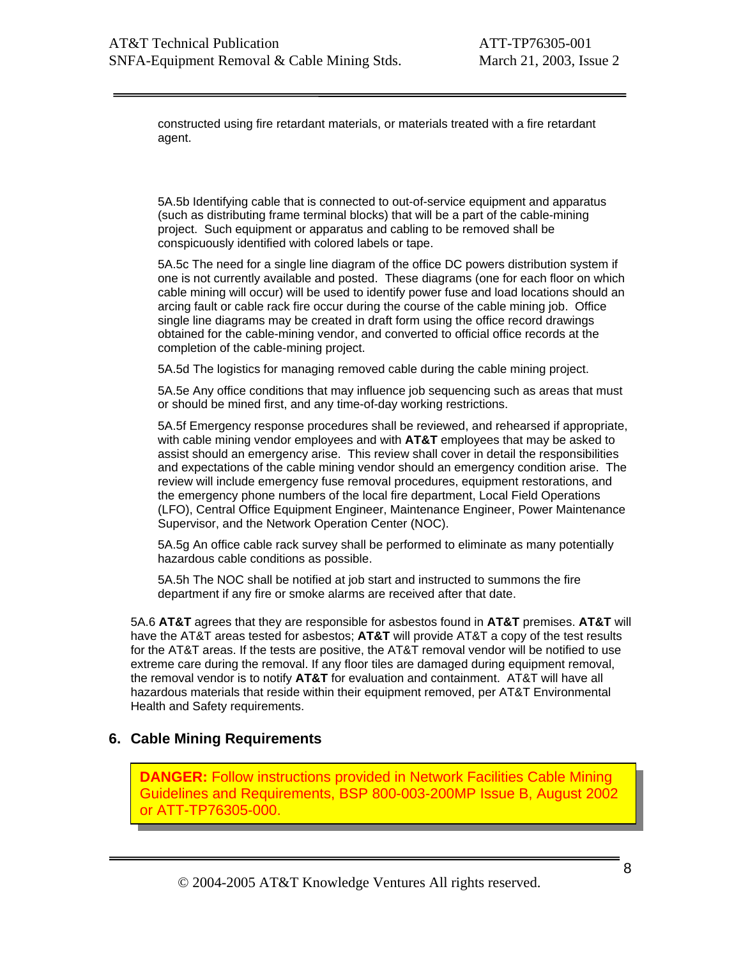constructed using fire retardant materials, or materials treated with a fire retardant agent.

5A.5b Identifying cable that is connected to out-of-service equipment and apparatus (such as distributing frame terminal blocks) that will be a part of the cable-mining project. Such equipment or apparatus and cabling to be removed shall be conspicuously identified with colored labels or tape.

5A.5c The need for a single line diagram of the office DC powers distribution system if one is not currently available and posted. These diagrams (one for each floor on which cable mining will occur) will be used to identify power fuse and load locations should an arcing fault or cable rack fire occur during the course of the cable mining job. Office single line diagrams may be created in draft form using the office record drawings obtained for the cable-mining vendor, and converted to official office records at the completion of the cable-mining project.

5A.5d The logistics for managing removed cable during the cable mining project.

5A.5e Any office conditions that may influence job sequencing such as areas that must or should be mined first, and any time-of-day working restrictions.

5A.5f Emergency response procedures shall be reviewed, and rehearsed if appropriate, with cable mining vendor employees and with **AT&T** employees that may be asked to assist should an emergency arise. This review shall cover in detail the responsibilities and expectations of the cable mining vendor should an emergency condition arise. The review will include emergency fuse removal procedures, equipment restorations, and the emergency phone numbers of the local fire department, Local Field Operations (LFO), Central Office Equipment Engineer, Maintenance Engineer, Power Maintenance Supervisor, and the Network Operation Center (NOC).

5A.5g An office cable rack survey shall be performed to eliminate as many potentially hazardous cable conditions as possible.

5A.5h The NOC shall be notified at job start and instructed to summons the fire department if any fire or smoke alarms are received after that date.

5A.6 **AT&T** agrees that they are responsible for asbestos found in **AT&T** premises. **AT&T** will have the AT&T areas tested for asbestos; **AT&T** will provide AT&T a copy of the test results for the AT&T areas. If the tests are positive, the AT&T removal vendor will be notified to use extreme care during the removal. If any floor tiles are damaged during equipment removal, the removal vendor is to notify **AT&T** for evaluation and containment. AT&T will have all hazardous materials that reside within their equipment removed, per AT&T Environmental Health and Safety requirements.

### **6. Cable Mining Requirements**

**DANGER:** Follow instructions provided in Network Facilities Cable Mining Guidelines and Requirements, BSP 800-003-200MP Issue B, August 2002 or ATT-TP76305-000.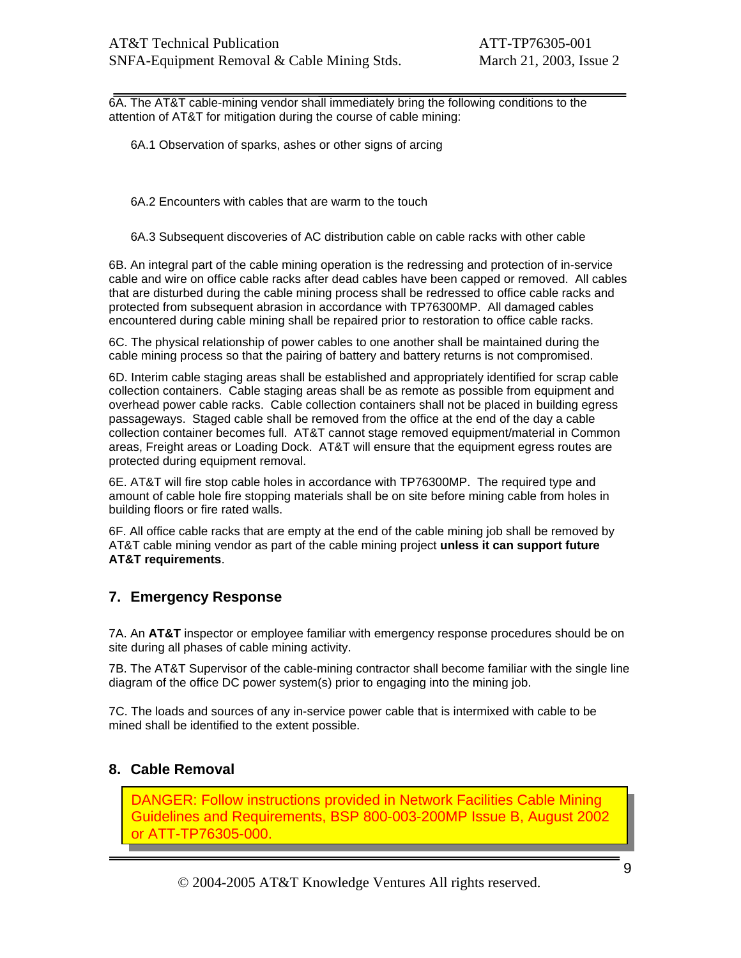6A. The AT&T cable-mining vendor shall immediately bring the following conditions to the attention of AT&T for mitigation during the course of cable mining:

6A.1 Observation of sparks, ashes or other signs of arcing

6A.2 Encounters with cables that are warm to the touch

6A.3 Subsequent discoveries of AC distribution cable on cable racks with other cable

6B. An integral part of the cable mining operation is the redressing and protection of in-service cable and wire on office cable racks after dead cables have been capped or removed. All cables that are disturbed during the cable mining process shall be redressed to office cable racks and protected from subsequent abrasion in accordance with TP76300MP. All damaged cables encountered during cable mining shall be repaired prior to restoration to office cable racks.

6C. The physical relationship of power cables to one another shall be maintained during the cable mining process so that the pairing of battery and battery returns is not compromised.

6D. Interim cable staging areas shall be established and appropriately identified for scrap cable collection containers. Cable staging areas shall be as remote as possible from equipment and overhead power cable racks. Cable collection containers shall not be placed in building egress passageways. Staged cable shall be removed from the office at the end of the day a cable collection container becomes full. AT&T cannot stage removed equipment/material in Common areas, Freight areas or Loading Dock. AT&T will ensure that the equipment egress routes are protected during equipment removal.

6E. AT&T will fire stop cable holes in accordance with TP76300MP. The required type and amount of cable hole fire stopping materials shall be on site before mining cable from holes in building floors or fire rated walls.

6F. All office cable racks that are empty at the end of the cable mining job shall be removed by AT&T cable mining vendor as part of the cable mining project **unless it can support future AT&T requirements**.

### **7. Emergency Response**

7A. An **AT&T** inspector or employee familiar with emergency response procedures should be on site during all phases of cable mining activity.

7B. The AT&T Supervisor of the cable-mining contractor shall become familiar with the single line diagram of the office DC power system(s) prior to engaging into the mining job.

7C. The loads and sources of any in-service power cable that is intermixed with cable to be mined shall be identified to the extent possible.

### **8. Cable Removal**

DANGER: Follow instructions provided in Network Facilities Cable Mining Guidelines and Requirements, BSP 800-003-200MP Issue B, August 2002 or ATT-TP76305-000.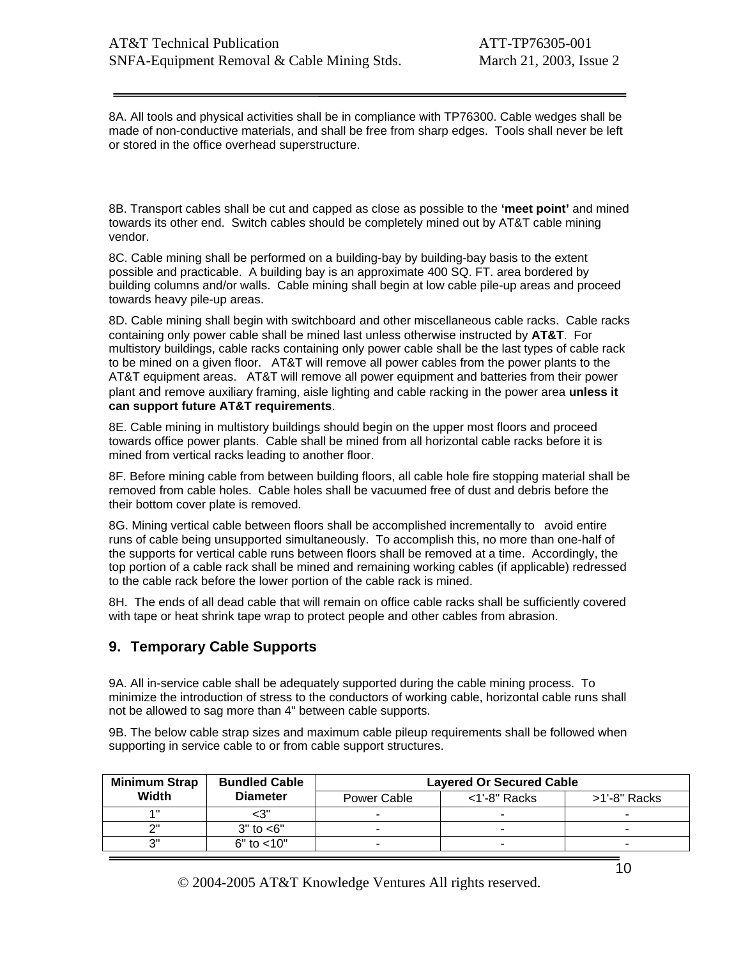8A. All tools and physical activities shall be in compliance with TP76300. Cable wedges shall be made of non-conductive materials, and shall be free from sharp edges. Tools shall never be left or stored in the office overhead superstructure.

8B. Transport cables shall be cut and capped as close as possible to the **'meet point'** and mined towards its other end. Switch cables should be completely mined out by AT&T cable mining vendor.

8C. Cable mining shall be performed on a building-bay by building-bay basis to the extent possible and practicable. A building bay is an approximate 400 SQ. FT. area bordered by building columns and/or walls. Cable mining shall begin at low cable pile-up areas and proceed towards heavy pile-up areas.

8D. Cable mining shall begin with switchboard and other miscellaneous cable racks. Cable racks containing only power cable shall be mined last unless otherwise instructed by **AT&T**. For multistory buildings, cable racks containing only power cable shall be the last types of cable rack to be mined on a given floor. AT&T will remove all power cables from the power plants to the AT&T equipment areas. AT&T will remove all power equipment and batteries from their power plant and remove auxiliary framing, aisle lighting and cable racking in the power area **unless it can support future AT&T requirements**.

8E. Cable mining in multistory buildings should begin on the upper most floors and proceed towards office power plants. Cable shall be mined from all horizontal cable racks before it is mined from vertical racks leading to another floor.

8F. Before mining cable from between building floors, all cable hole fire stopping material shall be removed from cable holes. Cable holes shall be vacuumed free of dust and debris before the their bottom cover plate is removed.

8G. Mining vertical cable between floors shall be accomplished incrementally to avoid entire runs of cable being unsupported simultaneously. To accomplish this, no more than one-half of the supports for vertical cable runs between floors shall be removed at a time. Accordingly, the top portion of a cable rack shall be mined and remaining working cables (if applicable) redressed to the cable rack before the lower portion of the cable rack is mined.

8H. The ends of all dead cable that will remain on office cable racks shall be sufficiently covered with tape or heat shrink tape wrap to protect people and other cables from abrasion.

### **9. Temporary Cable Supports**

9A. All in-service cable shall be adequately supported during the cable mining process. To minimize the introduction of stress to the conductors of working cable, horizontal cable runs shall not be allowed to sag more than 4" between cable supports.

9B. The below cable strap sizes and maximum cable pileup requirements shall be followed when supporting in service cable to or from cable support structures.

| <b>Minimum Strap</b> | <b>Bundled Cable</b><br><b>Diameter</b> | <b>Layered Or Secured Cable</b> |                 |              |
|----------------------|-----------------------------------------|---------------------------------|-----------------|--------------|
| Width                |                                         | Power Cable                     | $<$ 1'-8" Racks | >1'-8" Racks |
| 4 H                  | -3"                                     | -                               |                 |              |
| ייר                  | $3"$ to $<6"$                           | -                               |                 |              |
| יפ                   | $6"$ to $< 10"$                         | -                               |                 | -            |

© 2004-2005 AT&T Knowledge Ventures All rights reserved.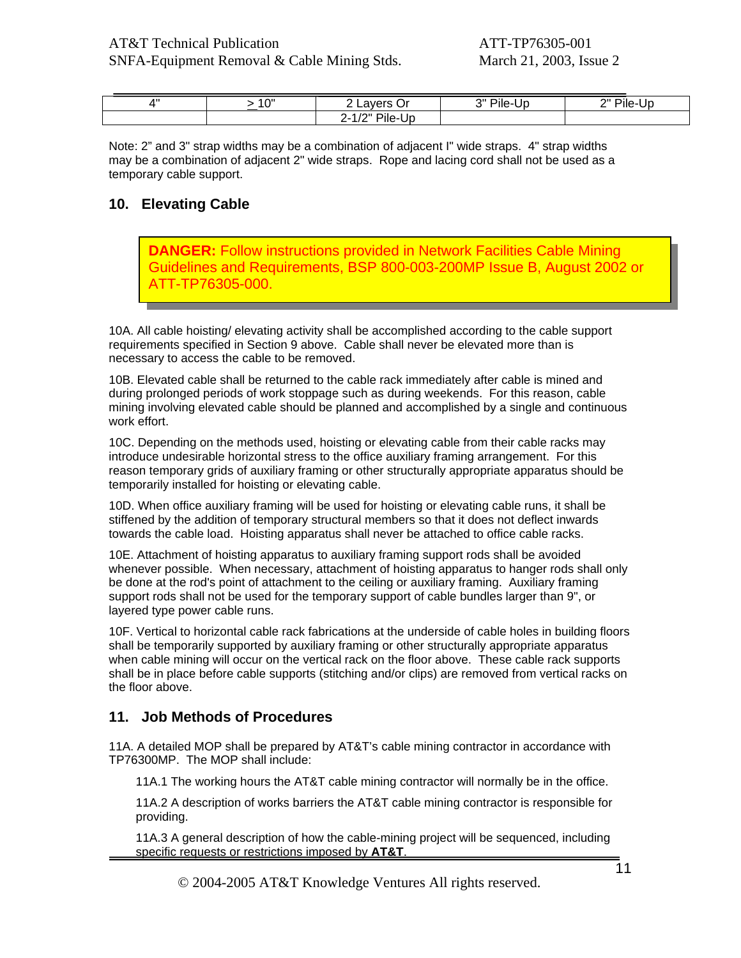| 4 II | $1^{\prime}$<br>- I G | Öľ<br><b>AVE</b><br><u>_</u>                                               | יי<br>Pile-√<br>۰.<br>UL | יי<br>∵Pile-<br>JD.<br>- |
|------|-----------------------|----------------------------------------------------------------------------|--------------------------|--------------------------|
|      |                       | . .<br>$\sqrt{2}$<br><br>٠Uc<br>'ile-L<br>$\sqrt{2}$<br>-<br>$\sim$ $\sim$ |                          |                          |

Note: 2" and 3" strap widths may be a combination of adjacent I" wide straps. 4" strap widths may be a combination of adjacent 2" wide straps. Rope and lacing cord shall not be used as a temporary cable support.

# **10. Elevating Cable**

**DANGER:** Follow instructions provided in Network Facilities Cable Mining Guidelines and Requirements, BSP 800-003-200MP Issue B, August 2002 or T-TP76305-000.

10A. All cable hoisting/ elevating activity shall be accomplished according to the cable support requirements specified in Section 9 above. Cable shall never be elevated more than is necessary to access the cable to be removed.

10B. Elevated cable shall be returned to the cable rack immediately after cable is mined and during prolonged periods of work stoppage such as during weekends. For this reason, cable mining involving elevated cable should be planned and accomplished by a single and continuous work effort.

10C. Depending on the methods used, hoisting or elevating cable from their cable racks may introduce undesirable horizontal stress to the office auxiliary framing arrangement. For this reason temporary grids of auxiliary framing or other structurally appropriate apparatus should be temporarily installed for hoisting or elevating cable.

10D. When office auxiliary framing will be used for hoisting or elevating cable runs, it shall be stiffened by the addition of temporary structural members so that it does not deflect inwards towards the cable load. Hoisting apparatus shall never be attached to office cable racks.

10E. Attachment of hoisting apparatus to auxiliary framing support rods shall be avoided whenever possible. When necessary, attachment of hoisting apparatus to hanger rods shall only be done at the rod's point of attachment to the ceiling or auxiliary framing. Auxiliary framing support rods shall not be used for the temporary support of cable bundles larger than 9", or layered type power cable runs.

10F. Vertical to horizontal cable rack fabrications at the underside of cable holes in building floors shall be temporarily supported by auxiliary framing or other structurally appropriate apparatus when cable mining will occur on the vertical rack on the floor above. These cable rack supports shall be in place before cable supports (stitching and/or clips) are removed from vertical racks on the floor above.

### **11. Job Methods of Procedures**

11A. A detailed MOP shall be prepared by AT&T's cable mining contractor in accordance with TP76300MP. The MOP shall include:

11A.1 The working hours the AT&T cable mining contractor will normally be in the office.

11A.2 A description of works barriers the AT&T cable mining contractor is responsible for providing.

11A.3 A general description of how the cable-mining project will be sequenced, including specific requests or restrictions imposed by **AT&T**.

© 2004-2005 AT&T Knowledge Ventures All rights reserved.